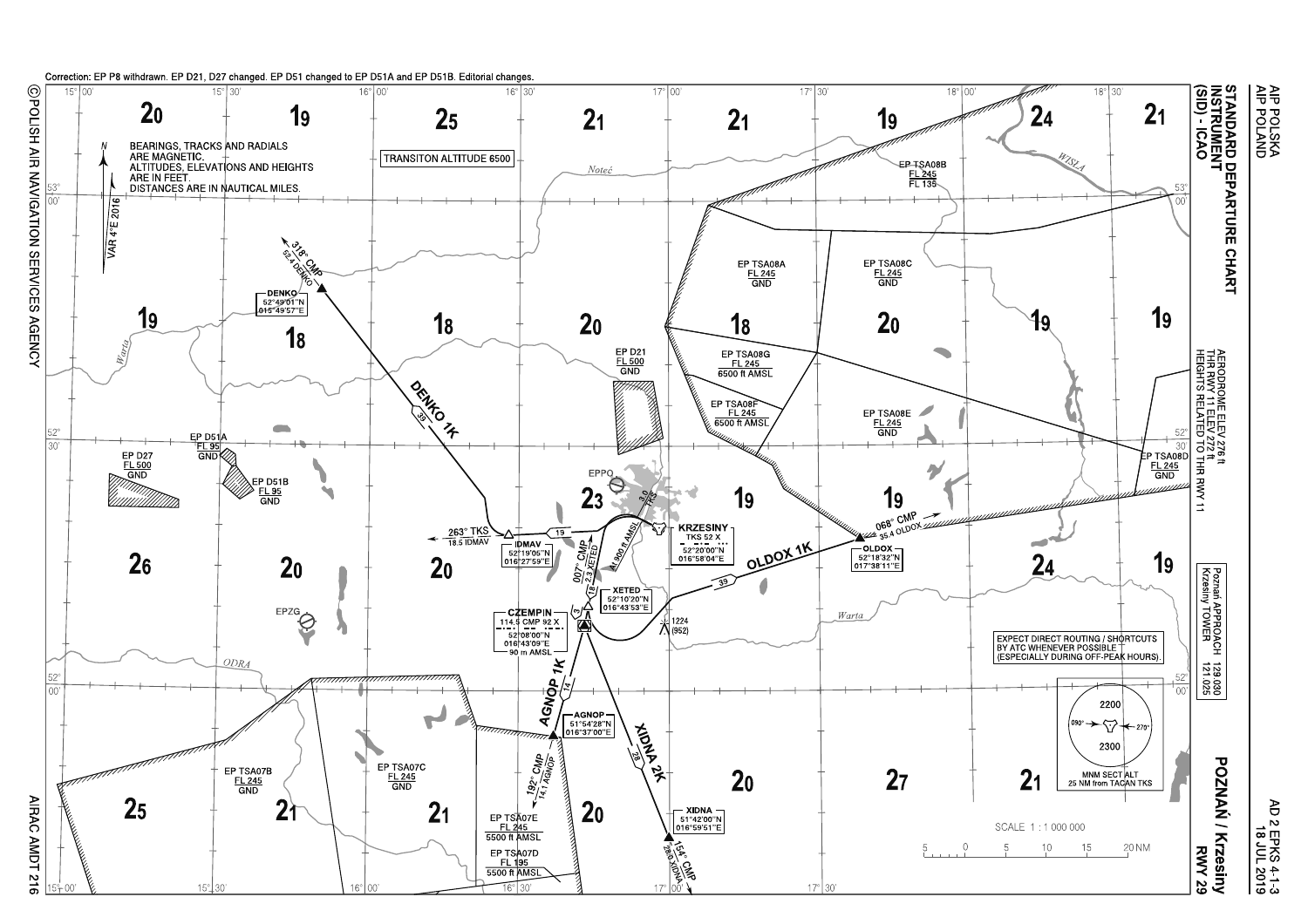